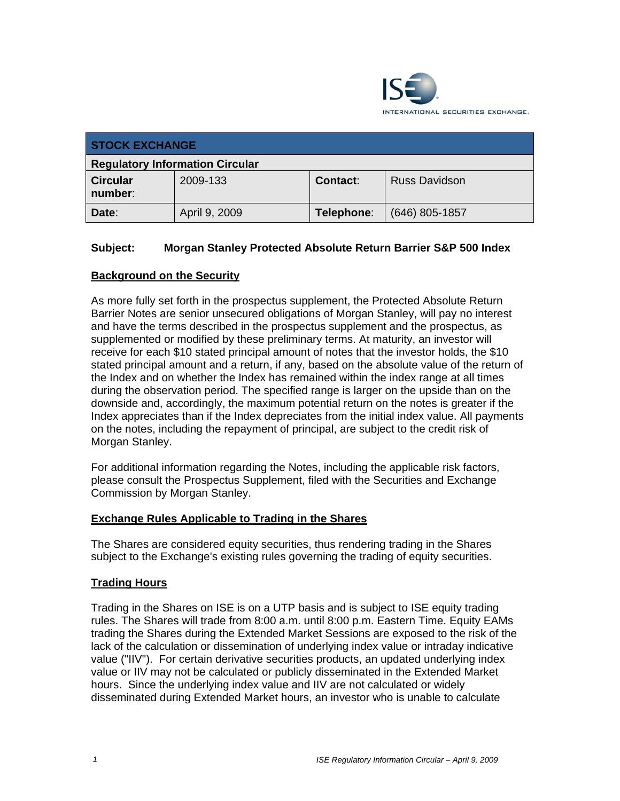

| <b>STOCK EXCHANGE</b>                  |               |            |                      |
|----------------------------------------|---------------|------------|----------------------|
| <b>Regulatory Information Circular</b> |               |            |                      |
| <b>Circular</b><br>number:             | 2009-133      | Contact:   | <b>Russ Davidson</b> |
| Date:                                  | April 9, 2009 | Telephone: | $(646)$ 805-1857     |

## **Subject: Morgan Stanley Protected Absolute Return Barrier S&P 500 Index**

## **Background on the Security**

As more fully set forth in the prospectus supplement, the Protected Absolute Return Barrier Notes are senior unsecured obligations of Morgan Stanley, will pay no interest and have the terms described in the prospectus supplement and the prospectus, as supplemented or modified by these preliminary terms. At maturity, an investor will receive for each \$10 stated principal amount of notes that the investor holds, the \$10 stated principal amount and a return, if any, based on the absolute value of the return of the Index and on whether the Index has remained within the index range at all times during the observation period. The specified range is larger on the upside than on the downside and, accordingly, the maximum potential return on the notes is greater if the Index appreciates than if the Index depreciates from the initial index value. All payments on the notes, including the repayment of principal, are subject to the credit risk of Morgan Stanley.

For additional information regarding the Notes, including the applicable risk factors, please consult the Prospectus Supplement, filed with the Securities and Exchange Commission by Morgan Stanley.

#### **Exchange Rules Applicable to Trading in the Shares**

The Shares are considered equity securities, thus rendering trading in the Shares subject to the Exchange's existing rules governing the trading of equity securities.

#### **Trading Hours**

Trading in the Shares on ISE is on a UTP basis and is subject to ISE equity trading rules. The Shares will trade from 8:00 a.m. until 8:00 p.m. Eastern Time. Equity EAMs trading the Shares during the Extended Market Sessions are exposed to the risk of the lack of the calculation or dissemination of underlying index value or intraday indicative value ("IIV"). For certain derivative securities products, an updated underlying index value or IIV may not be calculated or publicly disseminated in the Extended Market hours. Since the underlying index value and IIV are not calculated or widely disseminated during Extended Market hours, an investor who is unable to calculate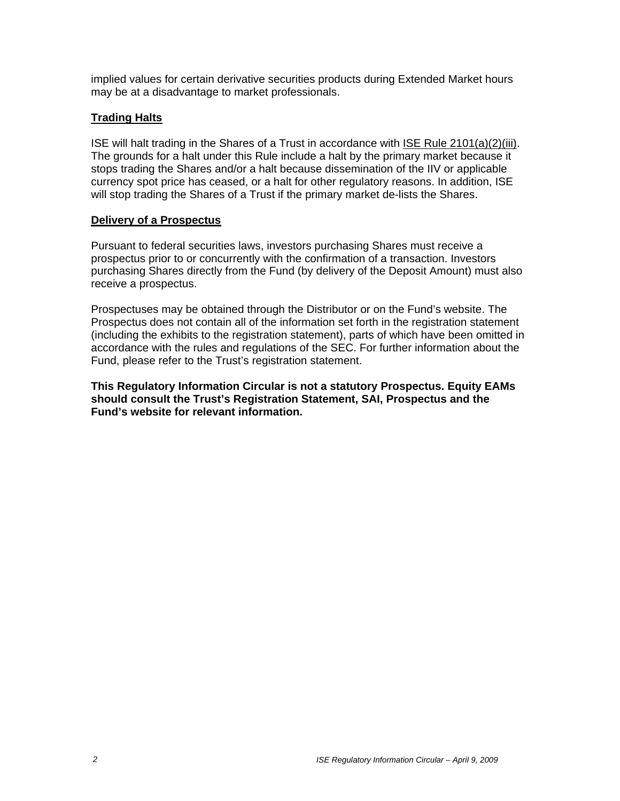implied values for certain derivative securities products during Extended Market hours may be at a disadvantage to market professionals.

## **Trading Halts**

ISE will halt trading in the Shares of a Trust in accordance with ISE Rule 2101(a)(2)(iii). The grounds for a halt under this Rule include a halt by the primary market because it stops trading the Shares and/or a halt because dissemination of the IIV or applicable currency spot price has ceased, or a halt for other regulatory reasons. In addition, ISE will stop trading the Shares of a Trust if the primary market de-lists the Shares.

#### **Delivery of a Prospectus**

Pursuant to federal securities laws, investors purchasing Shares must receive a prospectus prior to or concurrently with the confirmation of a transaction. Investors purchasing Shares directly from the Fund (by delivery of the Deposit Amount) must also receive a prospectus.

Prospectuses may be obtained through the Distributor or on the Fund's website. The Prospectus does not contain all of the information set forth in the registration statement (including the exhibits to the registration statement), parts of which have been omitted in accordance with the rules and regulations of the SEC. For further information about the Fund, please refer to the Trust's registration statement.

**This Regulatory Information Circular is not a statutory Prospectus. Equity EAMs should consult the Trust's Registration Statement, SAI, Prospectus and the Fund's website for relevant information.**